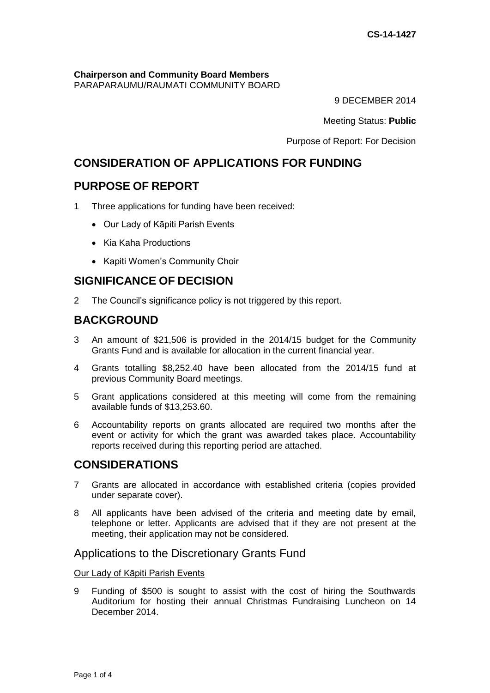#### **Chairperson and Community Board Members** PARAPARAUMU/RAUMATI COMMUNITY BOARD

9 DECEMBER 2014

Meeting Status: **Public**

Purpose of Report: For Decision

# **CONSIDERATION OF APPLICATIONS FOR FUNDING**

# **PURPOSE OF REPORT**

- 1 Three applications for funding have been received:
	- Our Lady of Kāpiti Parish Events
	- Kia Kaha Productions
	- Kapiti Women's Community Choir

# **SIGNIFICANCE OF DECISION**

2 The Council's significance policy is not triggered by this report.

# **BACKGROUND**

- 3 An amount of \$21,506 is provided in the 2014/15 budget for the Community Grants Fund and is available for allocation in the current financial year.
- 4 Grants totalling \$8,252.40 have been allocated from the 2014/15 fund at previous Community Board meetings.
- 5 Grant applications considered at this meeting will come from the remaining available funds of \$13,253.60.
- 6 Accountability reports on grants allocated are required two months after the event or activity for which the grant was awarded takes place. Accountability reports received during this reporting period are attached.

# **CONSIDERATIONS**

- 7 Grants are allocated in accordance with established criteria (copies provided under separate cover).
- 8 All applicants have been advised of the criteria and meeting date by email, telephone or letter. Applicants are advised that if they are not present at the meeting, their application may not be considered.

### Applications to the Discretionary Grants Fund

### Our Lady of Kāpiti Parish Events

9 Funding of \$500 is sought to assist with the cost of hiring the Southwards Auditorium for hosting their annual Christmas Fundraising Luncheon on 14 December 2014.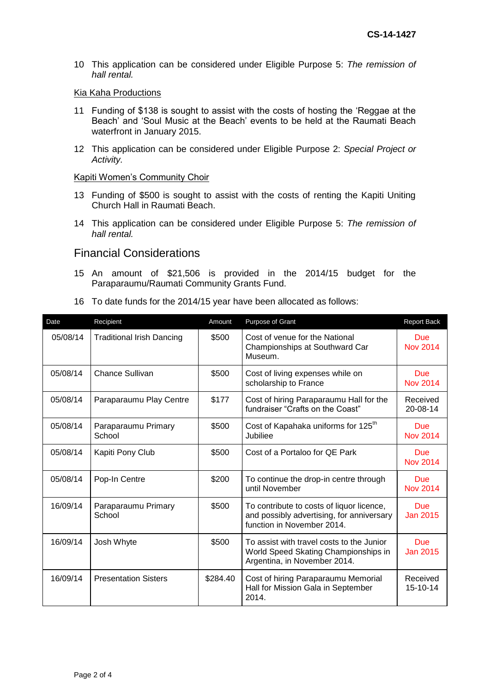10 This application can be considered under Eligible Purpose 5: *The remission of hall rental.*

#### Kia Kaha Productions

- 11 Funding of \$138 is sought to assist with the costs of hosting the 'Reggae at the Beach' and 'Soul Music at the Beach' events to be held at the Raumati Beach waterfront in January 2015.
- 12 This application can be considered under Eligible Purpose 2: *Special Project or Activity.*

#### Kapiti Women's Community Choir

- 13 Funding of \$500 is sought to assist with the costs of renting the Kapiti Uniting Church Hall in Raumati Beach.
- 14 This application can be considered under Eligible Purpose 5: *The remission of hall rental.*

### Financial Considerations

- 15 An amount of \$21,506 is provided in the 2014/15 budget for the Paraparaumu/Raumati Community Grants Fund.
- 16 To date funds for the 2014/15 year have been allocated as follows:

| Date     | Recipient                        | Amount   | Purpose of Grant                                                                                                     | <b>Report Back</b>            |
|----------|----------------------------------|----------|----------------------------------------------------------------------------------------------------------------------|-------------------------------|
| 05/08/14 | <b>Traditional Irish Dancing</b> | \$500    | Cost of venue for the National<br>Championships at Southward Car<br>Museum.                                          | <b>Due</b><br><b>Nov 2014</b> |
| 05/08/14 | <b>Chance Sullivan</b>           | \$500    | Cost of living expenses while on<br>scholarship to France                                                            | <b>Due</b><br><b>Nov 2014</b> |
| 05/08/14 | Paraparaumu Play Centre          | \$177    | Cost of hiring Paraparaumu Hall for the<br>fundraiser "Crafts on the Coast"                                          | Received<br>20-08-14          |
| 05/08/14 | Paraparaumu Primary<br>School    | \$500    | Cost of Kapahaka uniforms for 125 <sup>th</sup><br>Jubiliee                                                          | Due<br><b>Nov 2014</b>        |
| 05/08/14 | Kapiti Pony Club                 | \$500    | Cost of a Portaloo for QE Park                                                                                       | <b>Due</b><br><b>Nov 2014</b> |
| 05/08/14 | Pop-In Centre                    | \$200    | To continue the drop-in centre through<br>until November                                                             | <b>Due</b><br><b>Nov 2014</b> |
| 16/09/14 | Paraparaumu Primary<br>School    | \$500    | To contribute to costs of liquor licence,<br>and possibly advertising, for anniversary<br>function in November 2014. | <b>Due</b><br>Jan 2015        |
| 16/09/14 | Josh Whyte                       | \$500    | To assist with travel costs to the Junior<br>World Speed Skating Championships in<br>Argentina, in November 2014.    | <b>Due</b><br>Jan 2015        |
| 16/09/14 | <b>Presentation Sisters</b>      | \$284.40 | Cost of hiring Paraparaumu Memorial<br>Hall for Mission Gala in September<br>2014.                                   | Received<br>15-10-14          |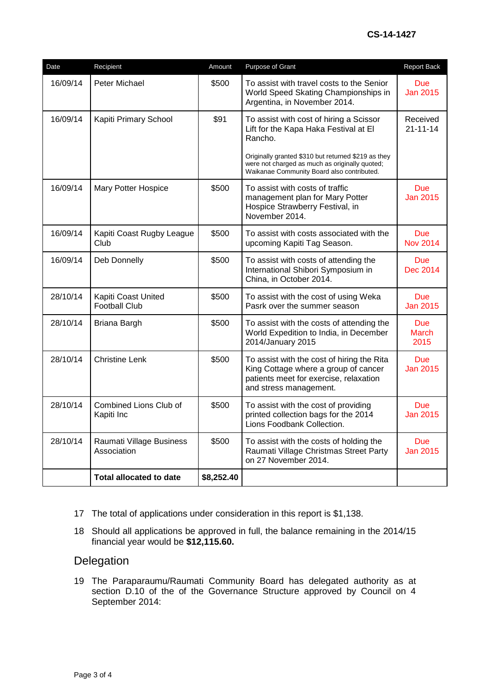| Date     | Recipient                                   | Amount     | Purpose of Grant                                                                                                                                       | Report Back                   |
|----------|---------------------------------------------|------------|--------------------------------------------------------------------------------------------------------------------------------------------------------|-------------------------------|
| 16/09/14 | Peter Michael                               | \$500      | To assist with travel costs to the Senior<br>World Speed Skating Championships in<br>Argentina, in November 2014.                                      | <b>Due</b><br><b>Jan 2015</b> |
| 16/09/14 | Kapiti Primary School                       | \$91       | To assist with cost of hiring a Scissor<br>Lift for the Kapa Haka Festival at El<br>Rancho.                                                            | Received<br>$21 - 11 - 14$    |
|          |                                             |            | Originally granted \$310 but returned \$219 as they<br>were not charged as much as originally quoted;<br>Waikanae Community Board also contributed.    |                               |
| 16/09/14 | <b>Mary Potter Hospice</b>                  | \$500      | To assist with costs of traffic<br>management plan for Mary Potter<br>Hospice Strawberry Festival, in<br>November 2014.                                | Due<br><b>Jan 2015</b>        |
| 16/09/14 | Kapiti Coast Rugby League<br>Club           | \$500      | To assist with costs associated with the<br>upcoming Kapiti Tag Season.                                                                                | <b>Due</b><br><b>Nov 2014</b> |
| 16/09/14 | Deb Donnelly                                | \$500      | To assist with costs of attending the<br>International Shibori Symposium in<br>China, in October 2014.                                                 | <b>Due</b><br>Dec 2014        |
| 28/10/14 | Kapiti Coast United<br><b>Football Club</b> | \$500      | To assist with the cost of using Weka<br>Pasrk over the summer season                                                                                  | <b>Due</b><br><b>Jan 2015</b> |
| 28/10/14 | Briana Bargh                                | \$500      | To assist with the costs of attending the<br>World Expedition to India, in December<br>2014/January 2015                                               | <b>Due</b><br>March<br>2015   |
| 28/10/14 | <b>Christine Lenk</b>                       | \$500      | To assist with the cost of hiring the Rita<br>King Cottage where a group of cancer<br>patients meet for exercise, relaxation<br>and stress management. | <b>Due</b><br><b>Jan 2015</b> |
| 28/10/14 | Combined Lions Club of<br>Kapiti Inc        | \$500      | To assist with the cost of providing<br>printed collection bags for the 2014<br>Lions Foodbank Collection.                                             | <b>Due</b><br><b>Jan 2015</b> |
| 28/10/14 | Raumati Village Business<br>Association     | \$500      | To assist with the costs of holding the<br>Raumati Village Christmas Street Party<br>on 27 November 2014.                                              | <b>Due</b><br>Jan 2015        |
|          | <b>Total allocated to date</b>              | \$8,252.40 |                                                                                                                                                        |                               |

- 17 The total of applications under consideration in this report is \$1,138.
- 18 Should all applications be approved in full, the balance remaining in the 2014/15 financial year would be **\$12,115.60.**

# Delegation

19 The Paraparaumu/Raumati Community Board has delegated authority as at section D.10 of the of the Governance Structure approved by Council on 4 September 2014: